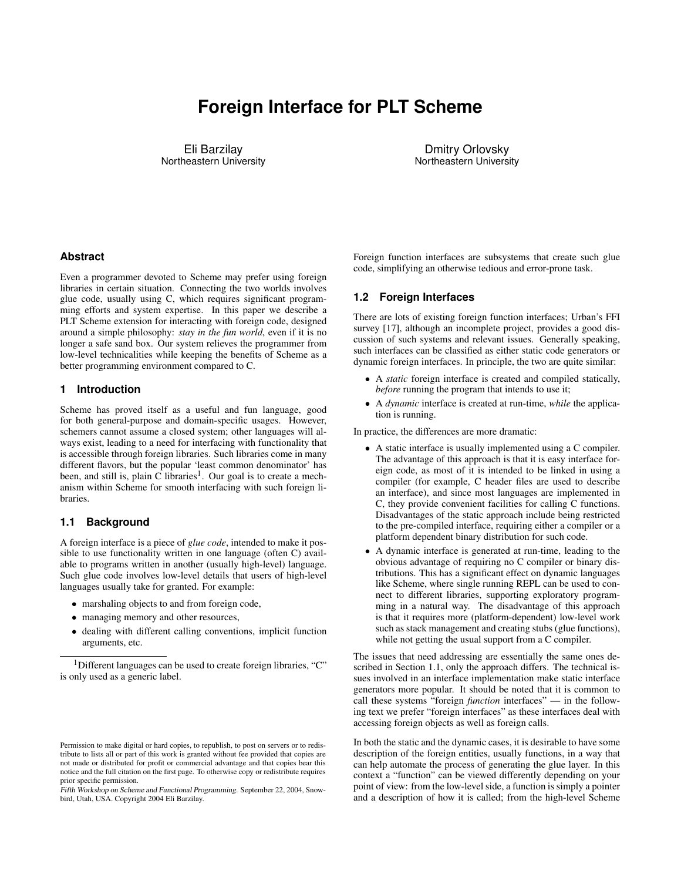# **Foreign Interface for PLT Scheme**

Eli Barzilay Northeastern University

Dmitry Orlovsky Northeastern University

## **Abstract**

Even a programmer devoted to Scheme may prefer using foreign libraries in certain situation. Connecting the two worlds involves glue code, usually using C, which requires significant programming efforts and system expertise. In this paper we describe a PLT Scheme extension for interacting with foreign code, designed around a simple philosophy: *stay in the fun world*, even if it is no longer a safe sand box. Our system relieves the programmer from low-level technicalities while keeping the benefits of Scheme as a better programming environment compared to C.

## **1 Introduction**

Scheme has proved itself as a useful and fun language, good for both general-purpose and domain-specific usages. However, schemers cannot assume a closed system; other languages will always exist, leading to a need for interfacing with functionality that is accessible through foreign libraries. Such libraries come in many different flavors, but the popular 'least common denominator' has been, and still is, plain  $\overline{C}$  libraries<sup>1</sup>. Our goal is to create a mechanism within Scheme for smooth interfacing with such foreign libraries.

## **1.1 Background**

A foreign interface is a piece of *glue code*, intended to make it possible to use functionality written in one language (often C) available to programs written in another (usually high-level) language. Such glue code involves low-level details that users of high-level languages usually take for granted. For example:

- marshaling objects to and from foreign code,
- managing memory and other resources,
- dealing with different calling conventions, implicit function arguments, etc.

<sup>1</sup>Different languages can be used to create foreign libraries, "C" is only used as a generic label.

Foreign function interfaces are subsystems that create such glue code, simplifying an otherwise tedious and error-prone task.

## **1.2 Foreign Interfaces**

There are lots of existing foreign function interfaces; Urban's FFI survey [17], although an incomplete project, provides a good discussion of such systems and relevant issues. Generally speaking, such interfaces can be classified as either static code generators or dynamic foreign interfaces. In principle, the two are quite similar:

- A *static* foreign interface is created and compiled statically, *before* running the program that intends to use it;
- A *dynamic* interface is created at run-time, *while* the application is running.

In practice, the differences are more dramatic:

- A static interface is usually implemented using a C compiler. The advantage of this approach is that it is easy interface foreign code, as most of it is intended to be linked in using a compiler (for example, C header files are used to describe an interface), and since most languages are implemented in C, they provide convenient facilities for calling C functions. Disadvantages of the static approach include being restricted to the pre-compiled interface, requiring either a compiler or a platform dependent binary distribution for such code.
- A dynamic interface is generated at run-time, leading to the obvious advantage of requiring no C compiler or binary distributions. This has a significant effect on dynamic languages like Scheme, where single running REPL can be used to connect to different libraries, supporting exploratory programming in a natural way. The disadvantage of this approach is that it requires more (platform-dependent) low-level work such as stack management and creating stubs (glue functions), while not getting the usual support from a C compiler.

The issues that need addressing are essentially the same ones described in Section 1.1, only the approach differs. The technical issues involved in an interface implementation make static interface generators more popular. It should be noted that it is common to call these systems "foreign *function* interfaces" — in the following text we prefer "foreign interfaces" as these interfaces deal with accessing foreign objects as well as foreign calls.

In both the static and the dynamic cases, it is desirable to have some description of the foreign entities, usually functions, in a way that can help automate the process of generating the glue layer. In this context a "function" can be viewed differently depending on your point of view: from the low-level side, a function is simply a pointer and a description of how it is called; from the high-level Scheme

Permission to make digital or hard copies, to republish, to post on servers or to redistribute to lists all or part of this work is granted without fee provided that copies are not made or distributed for profit or commercial advantage and that copies bear this notice and the full citation on the first page. To otherwise copy or redistribute requires prior specific permission.

Fifth Workshop on Scheme and Functional Programming. September 22, 2004, Snowbird, Utah, USA. Copyright 2004 Eli Barzilay.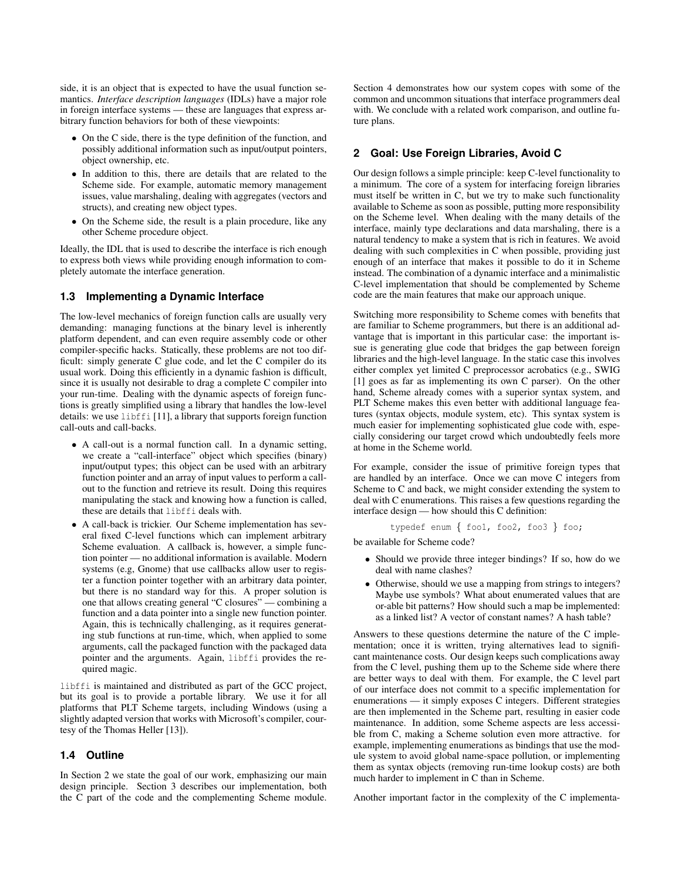side, it is an object that is expected to have the usual function semantics. *Interface description languages* (IDLs) have a major role in foreign interface systems — these are languages that express arbitrary function behaviors for both of these viewpoints:

- On the C side, there is the type definition of the function, and possibly additional information such as input/output pointers, object ownership, etc.
- In addition to this, there are details that are related to the Scheme side. For example, automatic memory management issues, value marshaling, dealing with aggregates (vectors and structs), and creating new object types.
- On the Scheme side, the result is a plain procedure, like any other Scheme procedure object.

Ideally, the IDL that is used to describe the interface is rich enough to express both views while providing enough information to completely automate the interface generation.

## **1.3 Implementing a Dynamic Interface**

The low-level mechanics of foreign function calls are usually very demanding: managing functions at the binary level is inherently platform dependent, and can even require assembly code or other compiler-specific hacks. Statically, these problems are not too difficult: simply generate C glue code, and let the C compiler do its usual work. Doing this efficiently in a dynamic fashion is difficult, since it is usually not desirable to drag a complete C compiler into your run-time. Dealing with the dynamic aspects of foreign functions is greatly simplified using a library that handles the low-level details: we use libffi [11], a library that supports foreign function call-outs and call-backs.

- A call-out is a normal function call. In a dynamic setting, we create a "call-interface" object which specifies (binary) input/output types; this object can be used with an arbitrary function pointer and an array of input values to perform a callout to the function and retrieve its result. Doing this requires manipulating the stack and knowing how a function is called, these are details that libffi deals with.
- A call-back is trickier. Our Scheme implementation has several fixed C-level functions which can implement arbitrary Scheme evaluation. A callback is, however, a simple function pointer — no additional information is available. Modern systems (e.g, Gnome) that use callbacks allow user to register a function pointer together with an arbitrary data pointer, but there is no standard way for this. A proper solution is one that allows creating general "C closures" — combining a function and a data pointer into a single new function pointer. Again, this is technically challenging, as it requires generating stub functions at run-time, which, when applied to some arguments, call the packaged function with the packaged data pointer and the arguments. Again, libffi provides the required magic.

libffi is maintained and distributed as part of the GCC project, but its goal is to provide a portable library. We use it for all platforms that PLT Scheme targets, including Windows (using a slightly adapted version that works with Microsoft's compiler, courtesy of the Thomas Heller [13]).

# **1.4 Outline**

In Section 2 we state the goal of our work, emphasizing our main design principle. Section 3 describes our implementation, both the C part of the code and the complementing Scheme module.

Section 4 demonstrates how our system copes with some of the common and uncommon situations that interface programmers deal with. We conclude with a related work comparison, and outline future plans.

# **2 Goal: Use Foreign Libraries, Avoid C**

Our design follows a simple principle: keep C-level functionality to a minimum. The core of a system for interfacing foreign libraries must itself be written in C, but we try to make such functionality available to Scheme as soon as possible, putting more responsibility on the Scheme level. When dealing with the many details of the interface, mainly type declarations and data marshaling, there is a natural tendency to make a system that is rich in features. We avoid dealing with such complexities in C when possible, providing just enough of an interface that makes it possible to do it in Scheme instead. The combination of a dynamic interface and a minimalistic C-level implementation that should be complemented by Scheme code are the main features that make our approach unique.

Switching more responsibility to Scheme comes with benefits that are familiar to Scheme programmers, but there is an additional advantage that is important in this particular case: the important issue is generating glue code that bridges the gap between foreign libraries and the high-level language. In the static case this involves either complex yet limited C preprocessor acrobatics (e.g., SWIG [1] goes as far as implementing its own C parser). On the other hand, Scheme already comes with a superior syntax system, and PLT Scheme makes this even better with additional language features (syntax objects, module system, etc). This syntax system is much easier for implementing sophisticated glue code with, especially considering our target crowd which undoubtedly feels more at home in the Scheme world.

For example, consider the issue of primitive foreign types that are handled by an interface. Once we can move C integers from Scheme to C and back, we might consider extending the system to deal with C enumerations. This raises a few questions regarding the interface design — how should this C definition:

```
typedef enum { foo1, foo2, foo3 } foo;
```
be available for Scheme code?

- Should we provide three integer bindings? If so, how do we deal with name clashes?
- Otherwise, should we use a mapping from strings to integers? Maybe use symbols? What about enumerated values that are or-able bit patterns? How should such a map be implemented: as a linked list? A vector of constant names? A hash table?

Answers to these questions determine the nature of the C implementation; once it is written, trying alternatives lead to significant maintenance costs. Our design keeps such complications away from the C level, pushing them up to the Scheme side where there are better ways to deal with them. For example, the C level part of our interface does not commit to a specific implementation for enumerations — it simply exposes C integers. Different strategies are then implemented in the Scheme part, resulting in easier code maintenance. In addition, some Scheme aspects are less accessible from C, making a Scheme solution even more attractive. for example, implementing enumerations as bindings that use the module system to avoid global name-space pollution, or implementing them as syntax objects (removing run-time lookup costs) are both much harder to implement in C than in Scheme.

Another important factor in the complexity of the C implementa-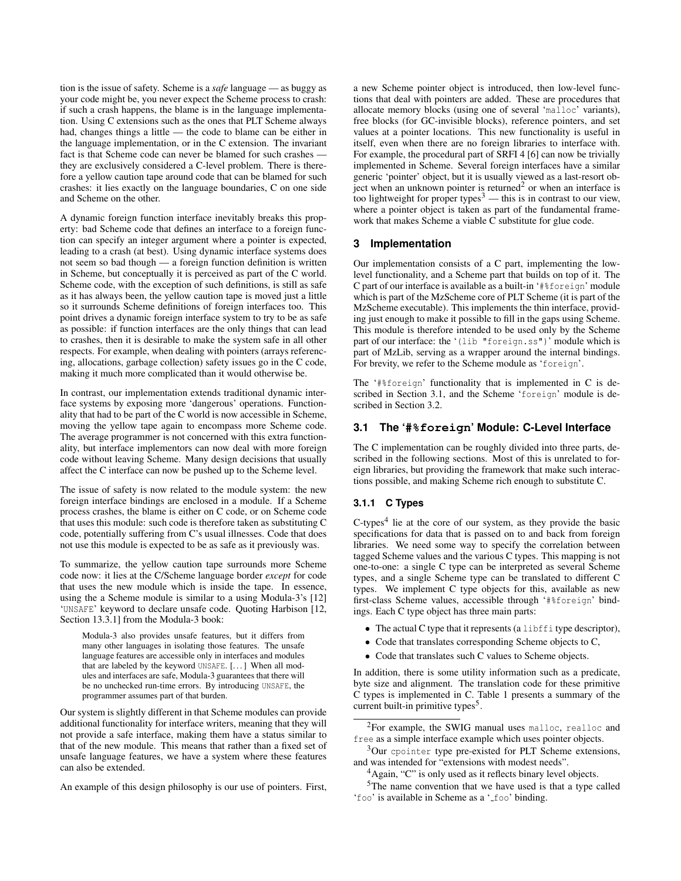tion is the issue of safety. Scheme is a *safe* language — as buggy as your code might be, you never expect the Scheme process to crash: if such a crash happens, the blame is in the language implementation. Using C extensions such as the ones that PLT Scheme always had, changes things a little — the code to blame can be either in the language implementation, or in the C extension. The invariant fact is that Scheme code can never be blamed for such crashes they are exclusively considered a C-level problem. There is therefore a yellow caution tape around code that can be blamed for such crashes: it lies exactly on the language boundaries, C on one side and Scheme on the other.

A dynamic foreign function interface inevitably breaks this property: bad Scheme code that defines an interface to a foreign function can specify an integer argument where a pointer is expected, leading to a crash (at best). Using dynamic interface systems does not seem so bad though — a foreign function definition is written in Scheme, but conceptually it is perceived as part of the C world. Scheme code, with the exception of such definitions, is still as safe as it has always been, the yellow caution tape is moved just a little so it surrounds Scheme definitions of foreign interfaces too. This point drives a dynamic foreign interface system to try to be as safe as possible: if function interfaces are the only things that can lead to crashes, then it is desirable to make the system safe in all other respects. For example, when dealing with pointers (arrays referencing, allocations, garbage collection) safety issues go in the C code, making it much more complicated than it would otherwise be.

In contrast, our implementation extends traditional dynamic interface systems by exposing more 'dangerous' operations. Functionality that had to be part of the C world is now accessible in Scheme, moving the yellow tape again to encompass more Scheme code. The average programmer is not concerned with this extra functionality, but interface implementors can now deal with more foreign code without leaving Scheme. Many design decisions that usually affect the C interface can now be pushed up to the Scheme level.

The issue of safety is now related to the module system: the new foreign interface bindings are enclosed in a module. If a Scheme process crashes, the blame is either on C code, or on Scheme code that uses this module: such code is therefore taken as substituting C code, potentially suffering from C's usual illnesses. Code that does not use this module is expected to be as safe as it previously was.

To summarize, the yellow caution tape surrounds more Scheme code now: it lies at the C/Scheme language border *except* for code that uses the new module which is inside the tape. In essence, using the a Scheme module is similar to a using Modula-3's [12] 'UNSAFE' keyword to declare unsafe code. Quoting Harbison [12, Section 13.3.1] from the Modula-3 book:

Modula-3 also provides unsafe features, but it differs from many other languages in isolating those features. The unsafe language features are accessible only in interfaces and modules that are labeled by the keyword UNSAFE. [...] When all modules and interfaces are safe, Modula-3 guarantees that there will be no unchecked run-time errors. By introducing UNSAFE, the programmer assumes part of that burden.

Our system is slightly different in that Scheme modules can provide additional functionality for interface writers, meaning that they will not provide a safe interface, making them have a status similar to that of the new module. This means that rather than a fixed set of unsafe language features, we have a system where these features can also be extended.

An example of this design philosophy is our use of pointers. First,

a new Scheme pointer object is introduced, then low-level functions that deal with pointers are added. These are procedures that allocate memory blocks (using one of several 'malloc' variants), free blocks (for GC-invisible blocks), reference pointers, and set values at a pointer locations. This new functionality is useful in itself, even when there are no foreign libraries to interface with. For example, the procedural part of SRFI 4 [6] can now be trivially implemented in Scheme. Several foreign interfaces have a similar generic 'pointer' object, but it is usually viewed as a last-resort object when an unknown pointer is returned<sup>2</sup> or when an interface is too lightweight for proper types<sup>3</sup> — this is in contrast to our view, where a pointer object is taken as part of the fundamental framework that makes Scheme a viable C substitute for glue code.

# **3 Implementation**

Our implementation consists of a C part, implementing the lowlevel functionality, and a Scheme part that builds on top of it. The C part of our interface is available as a built-in '#%foreign' module which is part of the MzScheme core of PLT Scheme (it is part of the MzScheme executable). This implements the thin interface, providing just enough to make it possible to fill in the gaps using Scheme. This module is therefore intended to be used only by the Scheme part of our interface: the '(lib "foreign.ss")' module which is part of MzLib, serving as a wrapper around the internal bindings. For brevity, we refer to the Scheme module as 'foreign'.

The '#%foreign' functionality that is implemented in C is described in Section 3.1, and the Scheme 'foreign' module is described in Section 3.2.

#### **3.1 The '#%foreign' Module: C-Level Interface**

The C implementation can be roughly divided into three parts, described in the following sections. Most of this is unrelated to foreign libraries, but providing the framework that make such interactions possible, and making Scheme rich enough to substitute C.

## **3.1.1 C Types**

C-types $4$  lie at the core of our system, as they provide the basic specifications for data that is passed on to and back from foreign libraries. We need some way to specify the correlation between tagged Scheme values and the various C types. This mapping is not one-to-one: a single C type can be interpreted as several Scheme types, and a single Scheme type can be translated to different C types. We implement C type objects for this, available as new first-class Scheme values, accessible through '#%foreign' bindings. Each C type object has three main parts:

- The actual C type that it represents (a libffi type descriptor),
- Code that translates corresponding Scheme objects to C,
- Code that translates such C values to Scheme objects.

In addition, there is some utility information such as a predicate, byte size and alignment. The translation code for these primitive C types is implemented in C. Table 1 presents a summary of the current built-in primitive types<sup>5</sup>.

<sup>&</sup>lt;sup>2</sup>For example, the SWIG manual uses malloc, realloc and free as a simple interface example which uses pointer objects.

<sup>&</sup>lt;sup>3</sup>Our cpointer type pre-existed for PLT Scheme extensions, and was intended for "extensions with modest needs".

<sup>&</sup>lt;sup>4</sup>Again, "C" is only used as it reflects binary level objects.

<sup>5</sup>The name convention that we have used is that a type called 'foo' is available in Scheme as a ' foo' binding.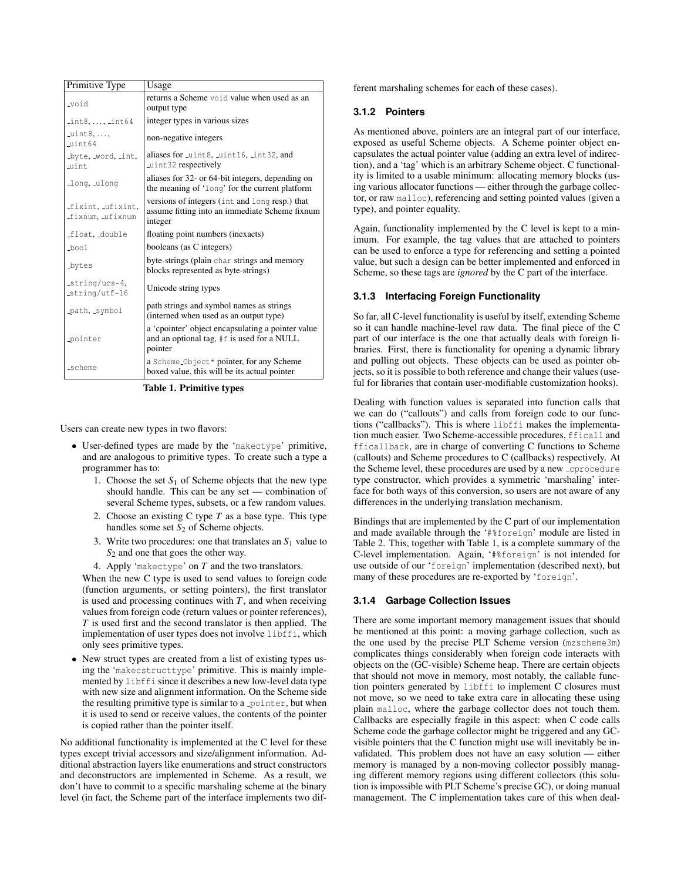| Primitive Type                      | Usage                                                                                                       |
|-------------------------------------|-------------------------------------------------------------------------------------------------------------|
| _void                               | returns a Scheme void value when used as an<br>output type                                                  |
| $int8, \ldots, int64$               | integer types in various sizes                                                                              |
| $uint8, \ldots$<br>uint64           | non-negative integers                                                                                       |
| byte, word, int,<br>Luint           | aliases for uint8, uint16, int32, and<br>uint32 respectively                                                |
| Long, ulong                         | aliases for 32- or 64-bit integers, depending on<br>the meaning of 'long' for the current platform          |
| fixint, ufixint,<br>fixnum, ufixnum | versions of integers (int and long resp.) that<br>assume fitting into an immediate Scheme fixnum<br>integer |
| float, double                       | floating point numbers (inexacts)                                                                           |
| _bool                               | booleans (as C integers)                                                                                    |
| _bytes                              | byte-strings (plain char strings and memory<br>blocks represented as byte-strings)                          |
| _string/ucs-4,<br>$string/utf-16$   | Unicode string types                                                                                        |
| path, symbol                        | path strings and symbol names as strings<br>(interned when used as an output type)                          |
| pointer                             | a 'cpointer' object encapsulating a pointer value<br>and an optional tag, #f is used for a NULL<br>pointer  |
| scheme                              | a Scheme Object* pointer, for any Scheme<br>boxed value, this will be its actual pointer                    |

**Table 1. Primitive types**

Users can create new types in two flavors:

- User-defined types are made by the 'makectype' primitive, and are analogous to primitive types. To create such a type a programmer has to:
	- 1. Choose the set  $S_1$  of Scheme objects that the new type should handle. This can be any set — combination of several Scheme types, subsets, or a few random values.
	- 2. Choose an existing C type *T* as a base type. This type handles some set  $S_2$  of Scheme objects.
	- 3. Write two procedures: one that translates an *S*<sup>1</sup> value to *S*<sub>2</sub> and one that goes the other way.
	- 4. Apply 'makectype' on *T* and the two translators.

When the new C type is used to send values to foreign code (function arguments, or setting pointers), the first translator is used and processing continues with  $T$ , and when receiving values from foreign code (return values or pointer references), *T* is used first and the second translator is then applied. The implementation of user types does not involve libffi, which only sees primitive types.

• New struct types are created from a list of existing types using the 'makecstructtype' primitive. This is mainly implemented by libffi since it describes a new low-level data type with new size and alignment information. On the Scheme side the resulting primitive type is similar to a pointer, but when it is used to send or receive values, the contents of the pointer is copied rather than the pointer itself.

No additional functionality is implemented at the C level for these types except trivial accessors and size/alignment information. Additional abstraction layers like enumerations and struct constructors and deconstructors are implemented in Scheme. As a result, we don't have to commit to a specific marshaling scheme at the binary level (in fact, the Scheme part of the interface implements two different marshaling schemes for each of these cases).

#### **3.1.2 Pointers**

As mentioned above, pointers are an integral part of our interface, exposed as useful Scheme objects. A Scheme pointer object encapsulates the actual pointer value (adding an extra level of indirection), and a 'tag' which is an arbitrary Scheme object. C functionality is limited to a usable minimum: allocating memory blocks (using various allocator functions — either through the garbage collector, or raw malloc), referencing and setting pointed values (given a type), and pointer equality.

Again, functionality implemented by the C level is kept to a minimum. For example, the tag values that are attached to pointers can be used to enforce a type for referencing and setting a pointed value, but such a design can be better implemented and enforced in Scheme, so these tags are *ignored* by the C part of the interface.

## **3.1.3 Interfacing Foreign Functionality**

So far, all C-level functionality is useful by itself, extending Scheme so it can handle machine-level raw data. The final piece of the C part of our interface is the one that actually deals with foreign libraries. First, there is functionality for opening a dynamic library and pulling out objects. These objects can be used as pointer objects, so it is possible to both reference and change their values (useful for libraries that contain user-modifiable customization hooks).

Dealing with function values is separated into function calls that we can do ("callouts") and calls from foreign code to our functions ("callbacks"). This is where libffi makes the implementation much easier. Two Scheme-accessible procedures, fficall and fficallback, are in charge of converting C functions to Scheme (callouts) and Scheme procedures to C (callbacks) respectively. At the Scheme level, these procedures are used by a new cprocedure type constructor, which provides a symmetric 'marshaling' interface for both ways of this conversion, so users are not aware of any differences in the underlying translation mechanism.

Bindings that are implemented by the C part of our implementation and made available through the '#%foreign' module are listed in Table 2. This, together with Table 1, is a complete summary of the C-level implementation. Again, '#%foreign' is not intended for use outside of our 'foreign' implementation (described next), but many of these procedures are re-exported by 'foreign'.

#### **3.1.4 Garbage Collection Issues**

There are some important memory management issues that should be mentioned at this point: a moving garbage collection, such as the one used by the precise PLT Scheme version (mzscheme3m) complicates things considerably when foreign code interacts with objects on the (GC-visible) Scheme heap. There are certain objects that should not move in memory, most notably, the callable function pointers generated by libffi to implement C closures must not move, so we need to take extra care in allocating these using plain malloc, where the garbage collector does not touch them. Callbacks are especially fragile in this aspect: when C code calls Scheme code the garbage collector might be triggered and any GCvisible pointers that the C function might use will inevitably be invalidated. This problem does not have an easy solution — either memory is managed by a non-moving collector possibly managing different memory regions using different collectors (this solution is impossible with PLT Scheme's precise GC), or doing manual management. The C implementation takes care of this when deal-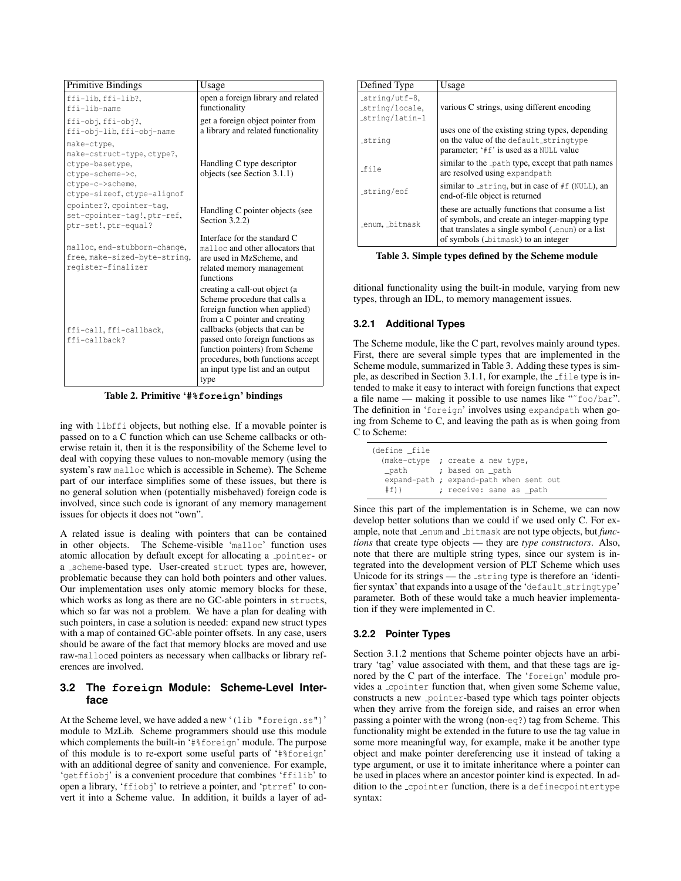| <b>Primitive Bindings</b>                                                                                                          | Usage                                                                                                                                                                                                                                                                                                                      |  |  |
|------------------------------------------------------------------------------------------------------------------------------------|----------------------------------------------------------------------------------------------------------------------------------------------------------------------------------------------------------------------------------------------------------------------------------------------------------------------------|--|--|
| ffi-lib, ffi-lib?,<br>ffi-lib-name                                                                                                 | open a foreign library and related<br>functionality                                                                                                                                                                                                                                                                        |  |  |
| ffi-obj.ffi-obj?.<br>ffi-obj-lib, ffi-obj-name                                                                                     | get a foreign object pointer from<br>a library and related functionality                                                                                                                                                                                                                                                   |  |  |
| make-ctype.<br>make-cstruct-type.ctype?.<br>ctype-basetype,<br>ctype-scheme->c.<br>ctype-c->scheme,<br>ctype-sizeof, ctype-alignof | Handling C type descriptor<br>objects (see Section 3.1.1)                                                                                                                                                                                                                                                                  |  |  |
| cpointer?, cpointer-tag,<br>set-cpointer-tag!, ptr-ref,<br>ptr-set!, ptr-equal?                                                    | Handling C pointer objects (see<br>Section $3.2.2$ )                                                                                                                                                                                                                                                                       |  |  |
| malloc, end-stubborn-change,<br>free, make-sized-byte-string,<br>register-finalizer                                                | Interface for the standard C<br>malloc and other allocators that<br>are used in MzScheme, and<br>related memory management<br>functions                                                                                                                                                                                    |  |  |
| ffi-call, ffi-callback,<br>ffi-callback?                                                                                           | creating a call-out object (a<br>Scheme procedure that calls a<br>foreign function when applied)<br>from a C pointer and creating<br>callbacks (objects that can be<br>passed onto foreign functions as<br>function pointers) from Scheme<br>procedures, both functions accept<br>an input type list and an output<br>type |  |  |

**Table 2. Primitive '#%foreign' bindings**

ing with libffi objects, but nothing else. If a movable pointer is passed on to a C function which can use Scheme callbacks or otherwise retain it, then it is the responsibility of the Scheme level to deal with copying these values to non-movable memory (using the system's raw malloc which is accessible in Scheme). The Scheme part of our interface simplifies some of these issues, but there is no general solution when (potentially misbehaved) foreign code is involved, since such code is ignorant of any memory management issues for objects it does not "own".

A related issue is dealing with pointers that can be contained in other objects. The Scheme-visible 'malloc' function uses atomic allocation by default except for allocating a pointer- or a scheme-based type. User-created struct types are, however, problematic because they can hold both pointers and other values. Our implementation uses only atomic memory blocks for these, which works as long as there are no GC-able pointers in structs, which so far was not a problem. We have a plan for dealing with such pointers, in case a solution is needed: expand new struct types with a map of contained GC-able pointer offsets. In any case, users should be aware of the fact that memory blocks are moved and use raw-malloced pointers as necessary when callbacks or library references are involved.

# **3.2 The foreign Module: Scheme-Level Interface**

At the Scheme level, we have added a new '(lib "foreign.ss")' module to MzLib. Scheme programmers should use this module which complements the built-in '#%foreign' module. The purpose of this module is to re-export some useful parts of '#%foreign' with an additional degree of sanity and convenience. For example, 'getffiobj' is a convenient procedure that combines 'ffilib' to open a library, 'ffiobj' to retrieve a pointer, and 'ptrref' to convert it into a Scheme value. In addition, it builds a layer of ad-

| Defined Type                                         | Usage                                                                                                                                                                                         |  |
|------------------------------------------------------|-----------------------------------------------------------------------------------------------------------------------------------------------------------------------------------------------|--|
| $string/utf-8$<br>_string/locale,<br>_string/latin-1 | various C strings, using different encoding                                                                                                                                                   |  |
| _string                                              | uses one of the existing string types, depending<br>on the value of the default_stringtype<br>parameter; '#f' is used as a NULL value                                                         |  |
| _file                                                | similar to the path type, except that path names<br>are resolved using expandpath                                                                                                             |  |
| string/eof                                           | similar to string, but in case of #f (NULL), an<br>end-of-file object is returned                                                                                                             |  |
| enum, bitmask                                        | these are actually functions that consume a list<br>of symbols, and create an integer-mapping type<br>that translates a single symbol (enum) or a list<br>of symbols (_bitmask) to an integer |  |

**Table 3. Simple types defined by the Scheme module**

ditional functionality using the built-in module, varying from new types, through an IDL, to memory management issues.

## **3.2.1 Additional Types**

The Scheme module, like the C part, revolves mainly around types. First, there are several simple types that are implemented in the Scheme module, summarized in Table 3. Adding these types is simple, as described in Section 3.1.1, for example, the file type is intended to make it easy to interact with foreign functions that expect a file name — making it possible to use names like "˜foo/bar". The definition in 'foreign' involves using expandpath when going from Scheme to C, and leaving the path as is when going from C to Scheme:

| (define file |                                         |
|--------------|-----------------------------------------|
| (make-ctype  | ; create a new type,                    |
| path         | ; based on path                         |
|              | expand-path ; expand-path when sent out |
| #f)          | ; receive: same as _path                |

Since this part of the implementation is in Scheme, we can now develop better solutions than we could if we used only C. For example, note that enum and bitmask are not type objects, but *functions* that create type objects — they are *type constructors*. Also, note that there are multiple string types, since our system is integrated into the development version of PLT Scheme which uses Unicode for its strings — the string type is therefore an 'identifier syntax' that expands into a usage of the 'default\_stringtype' parameter. Both of these would take a much heavier implementation if they were implemented in C.

## **3.2.2 Pointer Types**

Section 3.1.2 mentions that Scheme pointer objects have an arbitrary 'tag' value associated with them, and that these tags are ignored by the C part of the interface. The 'foreign' module provides a cpointer function that, when given some Scheme value, constructs a new pointer-based type which tags pointer objects when they arrive from the foreign side, and raises an error when passing a pointer with the wrong (non-eq?) tag from Scheme. This functionality might be extended in the future to use the tag value in some more meaningful way, for example, make it be another type object and make pointer dereferencing use it instead of taking a type argument, or use it to imitate inheritance where a pointer can be used in places where an ancestor pointer kind is expected. In addition to the cpointer function, there is a definecpointertype syntax: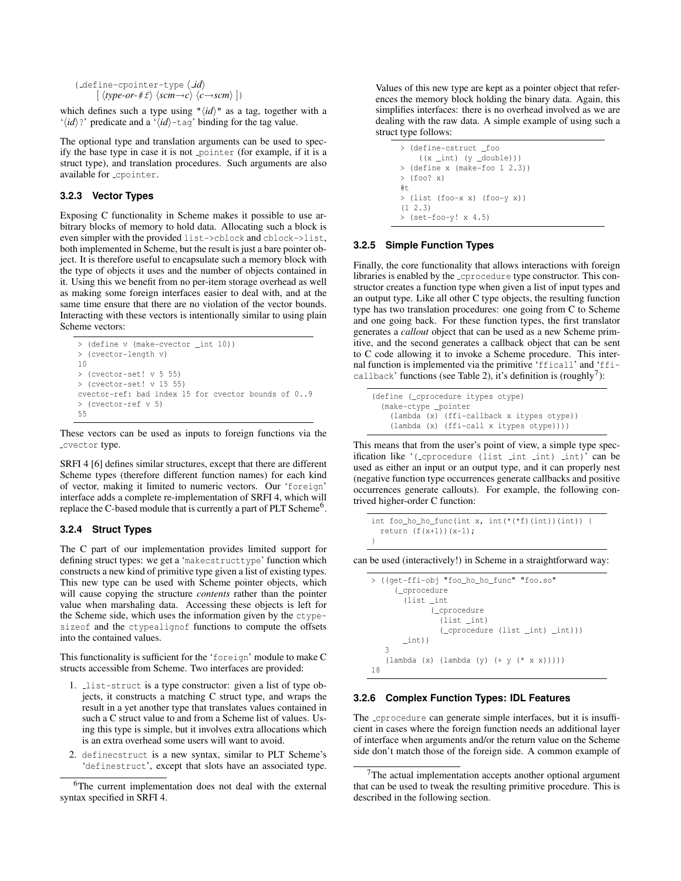```
( define-cpointer-type \langle id)
             \langle \langle type-or+ \text{if} \rangle \langle \text{scm} \rightarrow \text{c} \rangle \langle \text{c} \rightarrow \text{scm} \rangle \rangle
```
which defines such a type using " $\langle id \rangle$ " as a tag, together with a ' $\langle id \rangle$ ?' predicate and a ' $\langle id \rangle$ -tag' binding for the tag value.

The optional type and translation arguments can be used to specify the base type in case it is not pointer (for example, if it is a struct type), and translation procedures. Such arguments are also available for cpointer.

# **3.2.3 Vector Types**

Exposing C functionality in Scheme makes it possible to use arbitrary blocks of memory to hold data. Allocating such a block is even simpler with the provided list->cblock and cblock->list, both implemented in Scheme, but the result is just a bare pointer object. It is therefore useful to encapsulate such a memory block with the type of objects it uses and the number of objects contained in it. Using this we benefit from no per-item storage overhead as well as making some foreign interfaces easier to deal with, and at the same time ensure that there are no violation of the vector bounds. Interacting with these vectors is intentionally similar to using plain Scheme vectors:

```
> (define v (make-cvector _int 10))
> (cvector-length v)
10
> (cvector-set! v 5 55)
> (cvector-set! v 15 55)
cvector-ref: bad index 15 for cvector bounds of 0..9
> (cvector-ref v 5)
55
```
These vectors can be used as inputs to foreign functions via the cvector type.

SRFI 4 [6] defines similar structures, except that there are different Scheme types (therefore different function names) for each kind of vector, making it limited to numeric vectors. Our 'foreign' interface adds a complete re-implementation of SRFI 4, which will replace the C-based module that is currently a part of PLT Scheme<sup>6</sup>.

## **3.2.4 Struct Types**

The C part of our implementation provides limited support for defining struct types: we get a 'makecstructtype' function which constructs a new kind of primitive type given a list of existing types. This new type can be used with Scheme pointer objects, which will cause copying the structure *contents* rather than the pointer value when marshaling data. Accessing these objects is left for the Scheme side, which uses the information given by the ctypesizeof and the ctypealignof functions to compute the offsets into the contained values.

This functionality is sufficient for the 'foreign' module to make C structs accessible from Scheme. Two interfaces are provided:

- 1. list-struct is a type constructor: given a list of type objects, it constructs a matching C struct type, and wraps the result in a yet another type that translates values contained in such a C struct value to and from a Scheme list of values. Using this type is simple, but it involves extra allocations which is an extra overhead some users will want to avoid.
- 2. definecstruct is a new syntax, similar to PLT Scheme's 'definestruct', except that slots have an associated type.

```
<sup>6</sup>The current implementation does not deal with the external
syntax specified in SRFI 4.
```
Values of this new type are kept as a pointer object that references the memory block holding the binary data. Again, this simplifies interfaces: there is no overhead involved as we are dealing with the raw data. A simple example of using such a struct type follows:

```
> (define-cstruct _foo
    ((x _int) (y _double)))
> (define x (make-foo 1 2.3))
> (foo? x)
#t
> (list (foo-x x) (foo-y x))
(1 2.3)
> (set-foo-y! x 4.5)
```
## **3.2.5 Simple Function Types**

Finally, the core functionality that allows interactions with foreign libraries is enabled by the cprocedure type constructor. This constructor creates a function type when given a list of input types and an output type. Like all other C type objects, the resulting function type has two translation procedures: one going from C to Scheme and one going back. For these function types, the first translator generates a *callout* object that can be used as a new Scheme primitive, and the second generates a callback object that can be sent to C code allowing it to invoke a Scheme procedure. This internal function is implemented via the primitive 'fficall' and 'fficallback' functions (see Table 2), it's definition is (roughly<sup>7</sup>):

```
(define (_cprocedure itypes otype)
  (make-ctype _pointer
    (lambda (x) (ffi-callback x itypes otype))
    (lambda (x) (ffi-call x itypes otype))))
```
This means that from the user's point of view, a simple type specification like '( cprocedure (list int int) int)' can be used as either an input or an output type, and it can properly nest (negative function type occurrences generate callbacks and positive occurrences generate callouts). For example, the following contrived higher-order C function:

```
int foo_ho_ho_func(int x, int(*(*f)(int))(int)) {
 return (f(x+1))(x-1);
}
```
can be used (interactively!) in Scheme in a straightforward way:

> ((get-ffi-obj "foo\_ho\_ho\_func" "foo.so" (\_cprocedure (list \_int (\_cprocedure (list \_int) (\_cprocedure (list \_int) \_int))) \_int)) 3 (lambda (x) (lambda (y) (+ y (\* x x))))) 18

#### **3.2.6 Complex Function Types: IDL Features**

The cprocedure can generate simple interfaces, but it is insufficient in cases where the foreign function needs an additional layer of interface when arguments and/or the return value on the Scheme side don't match those of the foreign side. A common example of

<sup>&</sup>lt;sup>7</sup>The actual implementation accepts another optional argument that can be used to tweak the resulting primitive procedure. This is described in the following section.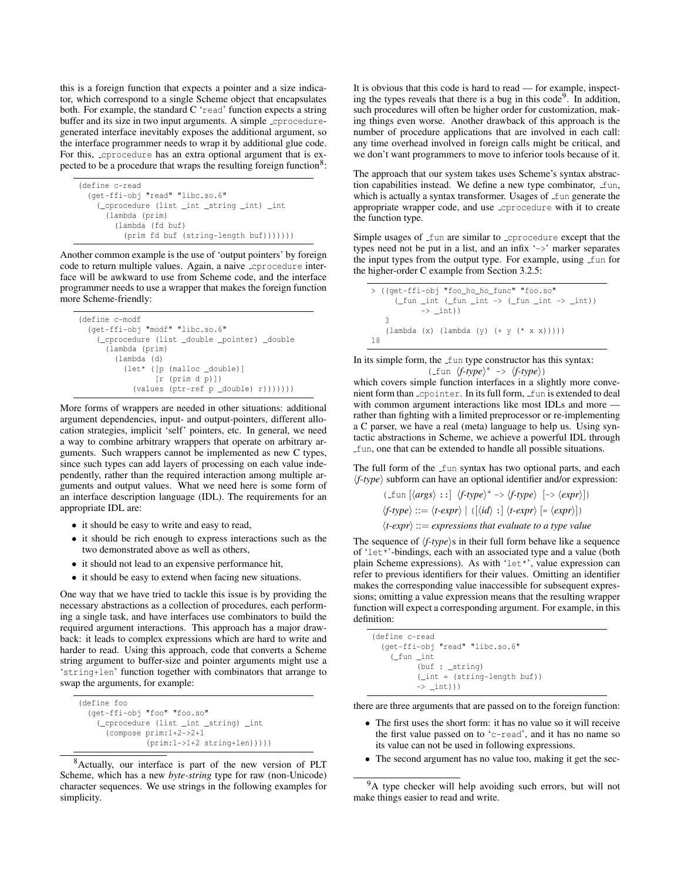this is a foreign function that expects a pointer and a size indicator, which correspond to a single Scheme object that encapsulates both. For example, the standard C 'read' function expects a string buffer and its size in two input arguments. A simple coproceduregenerated interface inevitably exposes the additional argument, so the interface programmer needs to wrap it by additional glue code. For this, cprocedure has an extra optional argument that is expected to be a procedure that wraps the resulting foreign function<sup>8</sup>:

```
(define c-read
 (get-ffi-obj "read" "libc.so.6"
    (_cprocedure (list _int _string _int) _int
      (lambda (prim)
        (lambda (fd buf)
          (prim fd buf (string-length buf)))))))
```
Another common example is the use of 'output pointers' by foreign code to return multiple values. Again, a naive cprocedure interface will be awkward to use from Scheme code, and the interface programmer needs to use a wrapper that makes the foreign function more Scheme-friendly:

```
(define c-modf
  (get-ffi-obj "modf" "libc.so.6"
    (_cprocedure (list _double _pointer) _double
      (lambda (prim)
        (lambda (d)
          (let* ([p (malloc _double)]
                 [r (prim d p)])
            (values (ptr-ref p _double) r)))))))
```
More forms of wrappers are needed in other situations: additional argument dependencies, input- and output-pointers, different allocation strategies, implicit 'self' pointers, etc. In general, we need a way to combine arbitrary wrappers that operate on arbitrary arguments. Such wrappers cannot be implemented as new C types, since such types can add layers of processing on each value independently, rather than the required interaction among multiple arguments and output values. What we need here is some form of an interface description language (IDL). The requirements for an appropriate IDL are:

- it should be easy to write and easy to read,
- it should be rich enough to express interactions such as the two demonstrated above as well as others,
- it should not lead to an expensive performance hit,
- it should be easy to extend when facing new situations.

One way that we have tried to tackle this issue is by providing the necessary abstractions as a collection of procedures, each performing a single task, and have interfaces use combinators to build the required argument interactions. This approach has a major drawback: it leads to complex expressions which are hard to write and harder to read. Using this approach, code that converts a Scheme string argument to buffer-size and pointer arguments might use a 'string+len' function together with combinators that arrange to swap the arguments, for example:

```
(define foo
  (get-ffi-obj "foo" "foo.so"
    (_cprocedure (list _int _string) _int
      (compose prim:1+2->2+1
               (prim:1->1+2 string+len))))
```
<sup>8</sup>Actually, our interface is part of the new version of PLT Scheme, which has a new *byte-string* type for raw (non-Unicode) character sequences. We use strings in the following examples for simplicity.

It is obvious that this code is hard to read — for example, inspecting the types reveals that there is a bug in this code<sup>9</sup>. In addition, such procedures will often be higher order for customization, making things even worse. Another drawback of this approach is the number of procedure applications that are involved in each call: any time overhead involved in foreign calls might be critical, and we don't want programmers to move to inferior tools because of it.

The approach that our system takes uses Scheme's syntax abstraction capabilities instead. We define a new type combinator, fun, which is actually a syntax transformer. Usages of fun generate the appropriate wrapper code, and use cprocedure with it to create the function type.

Simple usages of fun are similar to coprocedure except that the types need not be put in a list, and an infix '->' marker separates the input types from the output type. For example, using fun for the higher-order C example from Section 3.2.5:

```
> ((get-ffi-obj "foo_ho_ho_func" "foo.so"
       (\text{fun}\text{int } (\text{fun}\text{int} \rightarrow (\text{fun}\text{int} \rightarrow \text{int} ))\rightarrow int))
    3
     (lambda (x) (lambda (y) (+ y (* x x)))))
18
```
In its simple form, the fun type constructor has this syntax:  $(-\text{fun } \langle f\text{-type}\rangle^* \Rightarrow \langle f\text{-type}\rangle)$ 

which covers simple function interfaces in a slightly more convenient form than copointer. In its full form, fun is extended to deal with common argument interactions like most IDLs and more rather than fighting with a limited preprocessor or re-implementing a C parser, we have a real (meta) language to help us. Using syntactic abstractions in Scheme, we achieve a powerful IDL through fun, one that can be extended to handle all possible situations.

The full form of the fun syntax has two optional parts, and each  $\langle f$ -*type* $\rangle$  subform can have an optional identifier and/or expression:

$$
\langle \text{...fun } [\langle args \rangle : :] \langle f\text{-type} \rangle^* \rightarrow \langle f\text{-type} \rangle [->\langle expr \rangle])
$$
\n
$$
\langle f\text{-type} \rangle ::= \langle t\text{-expr} \rangle | ([\langle id \rangle :] \langle t\text{-expr} \rangle [ = \langle expr \rangle])
$$
\n
$$
\langle t\text{-expr} \rangle ::= expressions that evaluate to a type value
$$

The sequence of  $\langle f\text{-type}\rangle$ s in their full form behave like a sequence of 'let\*'-bindings, each with an associated type and a value (both plain Scheme expressions). As with 'let\*', value expression can refer to previous identifiers for their values. Omitting an identifier makes the corresponding value inaccessible for subsequent expressions; omitting a value expression means that the resulting wrapper function will expect a corresponding argument. For example, in this definition:

```
(define c-read
  (get-ffi-obj "read" "libc.so.6"
    (_fun _int
           (buf : _string)
           (_int = (string-length buf))
           \rightarrow \text{int}))
```
there are three arguments that are passed on to the foreign function:

- The first uses the short form: it has no value so it will receive the first value passed on to 'c-read', and it has no name so its value can not be used in following expressions.
- The second argument has no value too, making it get the sec-

<sup>&</sup>lt;sup>9</sup>A type checker will help avoiding such errors, but will not make things easier to read and write.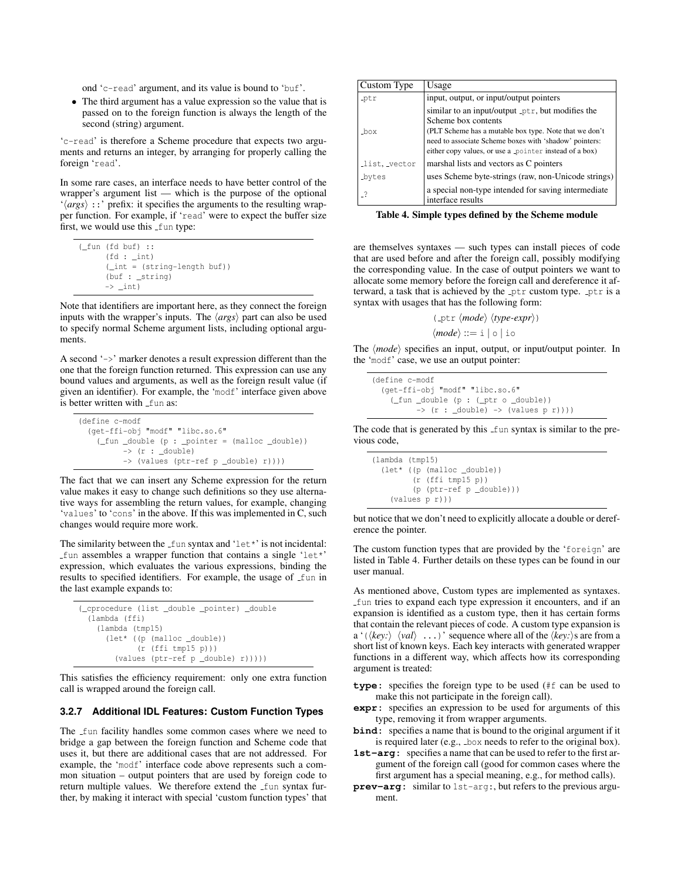ond 'c-read' argument, and its value is bound to 'buf'.

• The third argument has a value expression so the value that is passed on to the foreign function is always the length of the second (string) argument.

'c-read' is therefore a Scheme procedure that expects two arguments and returns an integer, by arranging for properly calling the foreign 'read'.

In some rare cases, an interface needs to have better control of the wrapper's argument list — which is the purpose of the optional  $\langle \langle \text{args} \rangle$  ::' prefix: it specifies the arguments to the resulting wrapper function. For example, if 'read' were to expect the buffer size first, we would use this fun type:

```
(_fun (fd buf) ::
      (fd : _int)(_int = (string-length buf))
      (buf : _string)
      \rightarrow \pmnt)
```
Note that identifiers are important here, as they connect the foreign inputs with the wrapper's inputs. The  $\langle \text{args} \rangle$  part can also be used to specify normal Scheme argument lists, including optional arguments.

A second '->' marker denotes a result expression different than the one that the foreign function returned. This expression can use any bound values and arguments, as well as the foreign result value (if given an identifier). For example, the 'modf' interface given above is better written with fun as:

| (define c-modf                                                                  |
|---------------------------------------------------------------------------------|
| (get-ffi-obj "modf" "libc.so.6"                                                 |
| $(\text{fun}_\text{double}(p : \text{pointer} = (\text{malloc}_\text{double}))$ |
| $\rightarrow$ (r : double)                                                      |
| -> (values (ptr-ref p _double) r))))                                            |

The fact that we can insert any Scheme expression for the return value makes it easy to change such definitions so they use alternative ways for assembling the return values, for example, changing 'values' to 'cons' in the above. If this was implemented in C, such changes would require more work.

The similarity between the  $\text{\textsterling}$  fun syntax and 'let\*' is not incidental: fun assembles a wrapper function that contains a single 'let\*' expression, which evaluates the various expressions, binding the results to specified identifiers. For example, the usage of fun in the last example expands to:

```
(_cprocedure (list _double _pointer) _double
 (lambda (ffi)
   (lambda (tmp15)
     (let* ((p (malloc _double))
             (r (ffi tmp15 p)))
        (values (ptr-ref p _double) r)))))
```
This satisfies the efficiency requirement: only one extra function call is wrapped around the foreign call.

## **3.2.7 Additional IDL Features: Custom Function Types**

The fun facility handles some common cases where we need to bridge a gap between the foreign function and Scheme code that uses it, but there are additional cases that are not addressed. For example, the 'modf' interface code above represents such a common situation – output pointers that are used by foreign code to return multiple values. We therefore extend the fun syntax further, by making it interact with special 'custom function types' that

| Custom Type   | Usage                                                                                                            |
|---------------|------------------------------------------------------------------------------------------------------------------|
| ptr           | input, output, or input/output pointers                                                                          |
|               | similar to an input/output ptr, but modifies the<br>Scheme box contents                                          |
| _box          | (PLT Scheme has a mutable box type. Note that we don't<br>need to associate Scheme boxes with 'shadow' pointers: |
|               | either copy values, or use a pointer instead of a box)                                                           |
| list, vector  | marshal lists and vectors as C pointers                                                                          |
| <b>Lovtes</b> | uses Scheme byte-strings (raw, non-Unicode strings)                                                              |
|               | a special non-type intended for saving intermediate<br>interface results                                         |

**Table 4. Simple types defined by the Scheme module**

are themselves syntaxes — such types can install pieces of code that are used before and after the foreign call, possibly modifying the corresponding value. In the case of output pointers we want to allocate some memory before the foreign call and dereference it afterward, a task that is achieved by the ptr custom type. ptr is a syntax with usages that has the following form:

(
$$
\text{ptr} \langle \text{mode} \rangle \langle \text{type-expr} \rangle
$$
)  
\langle \text{mode} \rangle ::= i | o | io

The  $\langle mode \rangle$  specifies an input, output, or input/output pointer. In the 'modf' case, we use an output pointer:

```
(define c-modf
  (get-ffi-obj "modf" "libc.so.6"
    (_fun _double (p : (_ptr o _double))
          \frac{1}{\sqrt{2}} (r : _double) -> (values p r))))
```
The code that is generated by this fun syntax is similar to the previous code,

```
(lambda (tmp15)
  (let* ((p (malloc _double))
         (r (ffi tmp15 p))
         (p (ptr-ref p _double)))
    (values p r)))
```
but notice that we don't need to explicitly allocate a double or dereference the pointer.

The custom function types that are provided by the 'foreign' are listed in Table 4. Further details on these types can be found in our user manual.

As mentioned above, Custom types are implemented as syntaxes. fun tries to expand each type expression it encounters, and if an expansion is identified as a custom type, then it has certain forms that contain the relevant pieces of code. A custom type expansion is a '( $\langle key:\rangle$   $\langle val \rangle$  ...)' sequence where all of the  $\langle key:\rangle$ s are from a short list of known keys. Each key interacts with generated wrapper functions in a different way, which affects how its corresponding argument is treated:

- **type:** specifies the foreign type to be used (#f can be used to make this not participate in the foreign call).
- **expr:** specifies an expression to be used for arguments of this type, removing it from wrapper arguments.
- **bind:** specifies a name that is bound to the original argument if it is required later (e.g., box needs to refer to the original box).
- 1st-arg: specifies a name that can be used to refer to the first argument of the foreign call (good for common cases where the first argument has a special meaning, e.g., for method calls).
- **prev-arg:** similar to 1st-arg:, but refers to the previous argument.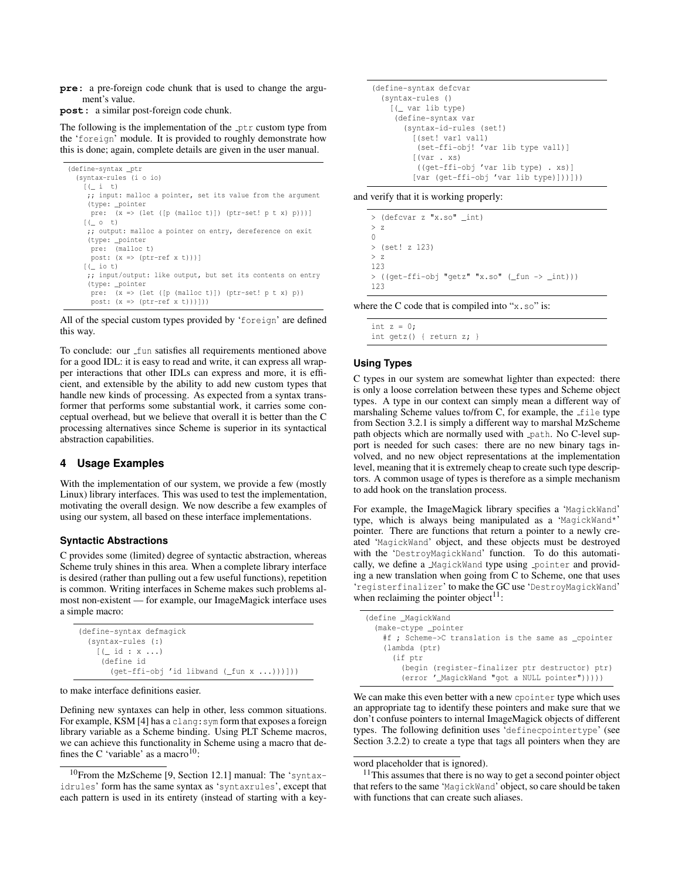**pre:** a pre-foreign code chunk that is used to change the argument's value.

**post:** a similar post-foreign code chunk.

The following is the implementation of the ptr custom type from the 'foreign' module. It is provided to roughly demonstrate how this is done; again, complete details are given in the user manual.

```
(define-syntax _ptr
  (syntax-rules (i o io)
    [(\quad i \quad t)];; input: malloc a pointer, set its value from the argument
     (type: _pointer
     pre: (x => (let ([p (malloc t)]) (ptr-set! p t x) p)))]
    [ (\angle 0 t)
    ;; output: malloc a pointer on entry, dereference on exit
     (type: _pointer
     pre: (malloc t)
      post: (x => (ptr-ref x t)))]
    [ ( i o t);; input/output: like output, but set its contents on entry
     (type: _pointer
     pre: (x \Rightarrow (let ([p (malloc t)]) (ptr-set! p t x) p))
      post: (x => (ptr-ref x t)))]))
```
All of the special custom types provided by 'foreign' are defined this way.

To conclude: our fun satisfies all requirements mentioned above for a good IDL: it is easy to read and write, it can express all wrapper interactions that other IDLs can express and more, it is efficient, and extensible by the ability to add new custom types that handle new kinds of processing. As expected from a syntax transformer that performs some substantial work, it carries some conceptual overhead, but we believe that overall it is better than the C processing alternatives since Scheme is superior in its syntactical abstraction capabilities.

## **4 Usage Examples**

With the implementation of our system, we provide a few (mostly Linux) library interfaces. This was used to test the implementation, motivating the overall design. We now describe a few examples of using our system, all based on these interface implementations.

#### **Syntactic Abstractions**

C provides some (limited) degree of syntactic abstraction, whereas Scheme truly shines in this area. When a complete library interface is desired (rather than pulling out a few useful functions), repetition is common. Writing interfaces in Scheme makes such problems almost non-existent — for example, our ImageMagick interface uses a simple macro:

```
(define-syntax defmagick
 (syntax-rules (:)
    [ ( id : x ...)
     (define id
      (get-ffi-obj 'id libwand (_fun x ...)))]))
```
to make interface definitions easier.

Defining new syntaxes can help in other, less common situations. For example, KSM [4] has a clang: sym form that exposes a foreign library variable as a Scheme binding. Using PLT Scheme macros, we can achieve this functionality in Scheme using a macro that defines the C 'variable' as a macro<sup>10</sup>:

```
(define-syntax defcvar
 (syntax-rules ()
    [(_ var lib type)
    (define-syntax var
       (syntax-id-rules (set!)
         [(set! var1 val1)
          (set-ffi-obj! 'var lib type val1)]
         [(var . xs)
         ((get-ffi-obj 'var lib type) . xs)]
         [var (get-ffi-obj 'var lib type)]))]))
```
and verify that it is working properly:

> (defcvar z "x.so" \_int)  $> 7$  $\bigcap$ > (set! z 123)  $> 7$ 123 > ((get-ffi-obj "getz" "x.so" (\_fun -> \_int))) 123

where the C code that is compiled into "x.so" is:

int  $z = 0$ : int getz() { return z; }

#### **Using Types**

C types in our system are somewhat lighter than expected: there is only a loose correlation between these types and Scheme object types. A type in our context can simply mean a different way of marshaling Scheme values to/from C, for example, the file type from Section 3.2.1 is simply a different way to marshal MzScheme path objects which are normally used with path. No C-level support is needed for such cases: there are no new binary tags involved, and no new object representations at the implementation level, meaning that it is extremely cheap to create such type descriptors. A common usage of types is therefore as a simple mechanism to add hook on the translation process.

For example, the ImageMagick library specifies a 'MagickWand' type, which is always being manipulated as a 'MagickWand\*' pointer. There are functions that return a pointer to a newly created 'MagickWand' object, and these objects must be destroyed with the 'DestroyMagickWand' function. To do this automatically, we define a MagickWand type using pointer and providing a new translation when going from C to Scheme, one that uses 'registerfinalizer' to make the GC use 'DestroyMagickWand' when reclaiming the pointer object<sup>11</sup>:

| #f ; Scheme->C translation is the same as cpointer |
|----------------------------------------------------|
|                                                    |
|                                                    |
| (begin (register-finalizer ptr destructor) ptr)    |
| (error ' MagickWand "got a NULL pointer")))))      |
|                                                    |

We can make this even better with a new cpointer type which uses an appropriate tag to identify these pointers and make sure that we don't confuse pointers to internal ImageMagick objects of different types. The following definition uses 'definecpointertype' (see Section 3.2.2) to create a type that tags all pointers when they are

```
word placeholder that is ignored).
```
 $11$ This assumes that there is no way to get a second pointer object that refers to the same 'MagickWand' object, so care should be taken with functions that can create such aliases.

<sup>10</sup>From the MzScheme [9, Section 12.1] manual: The 'syntaxidrules' form has the same syntax as 'syntaxrules', except that each pattern is used in its entirety (instead of starting with a key-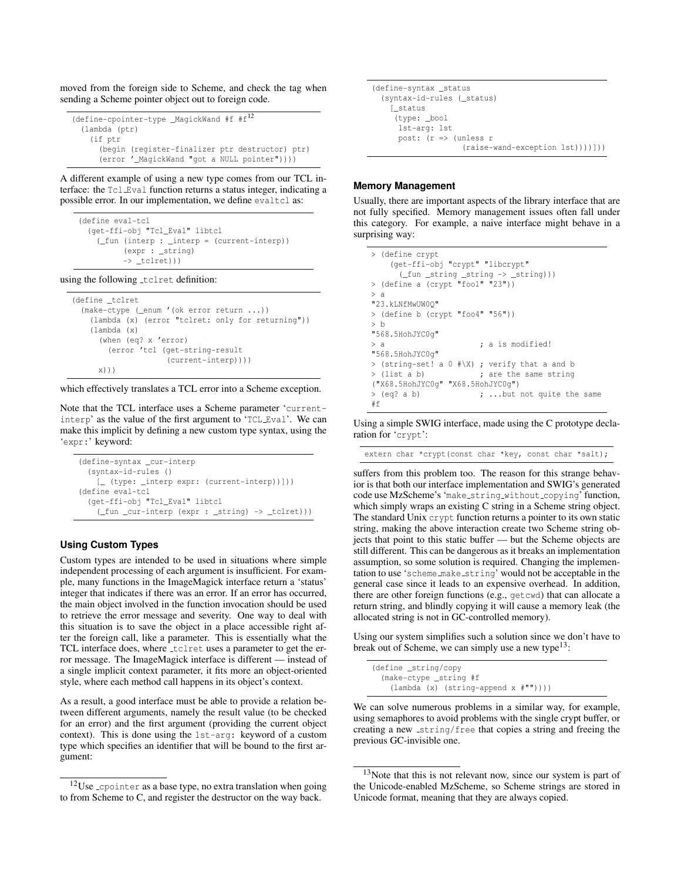moved from the foreign side to Scheme, and check the tag when sending a Scheme pointer object out to foreign code.

```
(define-cpointer-type _MagickWand #f #f12
  (lambda (ptr)
   (if ptr
      (begin (register-finalizer ptr destructor) ptr)
     (error '_MagickWand "got a NULL pointer"))))
```
A different example of using a new type comes from our TCL interface: the Tcl Eval function returns a status integer, indicating a possible error. In our implementation, we define evaltcl as:

```
(define eval-tcl
  (get-ffi-obj "Tcl_Eval" libtcl
    (_fun (interp : _interp = (current-interp))
          (expr : string)\rightarrow _tclret)))
```
using the following tclret definition:

```
(define tclret
 (make-ctype (_enum '(ok error return ...))
    (lambda (x) (error "tclret: only for returning"))
    (lambda (x)
      (when (eq? x 'error)
       (error 'tcl (get-string-result
                     (current-interp))))
     x)))
```
which effectively translates a TCL error into a Scheme exception.

Note that the TCL interface uses a Scheme parameter 'currentinterp' as the value of the first argument to 'TCL Eval'. We can make this implicit by defining a new custom type syntax, using the 'expr:' keyword:

```
(define-syntax _cur-interp
  (syntax-id-rules ()
   [_ (type: _interp expr: (current-interp))]))
(define eval-tcl
  (get-ffi-obj "Tcl_Eval" libtcl
    (_fun _cur-interp (expr : _string) -> _tclret)))
```
#### **Using Custom Types**

Custom types are intended to be used in situations where simple independent processing of each argument is insufficient. For example, many functions in the ImageMagick interface return a 'status' integer that indicates if there was an error. If an error has occurred, the main object involved in the function invocation should be used to retrieve the error message and severity. One way to deal with this situation is to save the object in a place accessible right after the foreign call, like a parameter. This is essentially what the TCL interface does, where tclret uses a parameter to get the error message. The ImageMagick interface is different — instead of a single implicit context parameter, it fits more an object-oriented style, where each method call happens in its object's context.

As a result, a good interface must be able to provide a relation between different arguments, namely the result value (to be checked for an error) and the first argument (providing the current object context). This is done using the 1st-arg: keyword of a custom type which specifies an identifier that will be bound to the first argument:

(define-syntax \_status (syntax-id-rules (\_status) [\_status (type: \_bool 1st-arg: 1st post:  $(r \Rightarrow$  (unless r (raise-wand-exception 1st))))]))

#### **Memory Management**

Usually, there are important aspects of the library interface that are not fully specified. Memory management issues often fall under this category. For example, a naive interface might behave in a surprising way:

```
> (define crypt
    (get-ffi-obj "crypt" "libcrypt"
     (_fun _string _string -> _string)))
> (define a (crypt "foo1" "23"))
> a
"23.kLNfMwUW0Q"
> (define b (crypt "foo4" "56"))
> b
"568.5HohJYC0g"
> a ; a is modified!
"568.5HohJYC0g"
> (string-set! a 0 #\X) ; verify that a and b
> (list a b) ; are the same string
("X68.5HohJYC0g" "X68.5HohJYC0g")
> (eq? a b) ; ...but not quite the same
#f
```
Using a simple SWIG interface, made using the C prototype declaration for 'crypt':

extern char \*crypt(const char \*key, const char \*salt);

suffers from this problem too. The reason for this strange behavior is that both our interface implementation and SWIG's generated code use MzScheme's 'make string without copying' function, which simply wraps an existing C string in a Scheme string object. The standard Unix crypt function returns a pointer to its own static string, making the above interaction create two Scheme string objects that point to this static buffer — but the Scheme objects are still different. This can be dangerous as it breaks an implementation assumption, so some solution is required. Changing the implementation to use 'scheme make string' would not be acceptable in the general case since it leads to an expensive overhead. In addition, there are other foreign functions (e.g., getcwd) that can allocate a return string, and blindly copying it will cause a memory leak (the allocated string is not in GC-controlled memory).

Using our system simplifies such a solution since we don't have to break out of Scheme, we can simply use a new type<sup>13</sup>:

(define \_string/copy (make-ctype \_string #f (lambda (x) (string-append  $x # " " ) ) ) )$ 

We can solve numerous problems in a similar way, for example, using semaphores to avoid problems with the single crypt buffer, or creating a new string/free that copies a string and freeing the previous GC-invisible one.

<sup>&</sup>lt;sup>12</sup>Use cpointer as a base type, no extra translation when going to from Scheme to C, and register the destructor on the way back.

<sup>&</sup>lt;sup>13</sup>Note that this is not relevant now, since our system is part of the Unicode-enabled MzScheme, so Scheme strings are stored in Unicode format, meaning that they are always copied.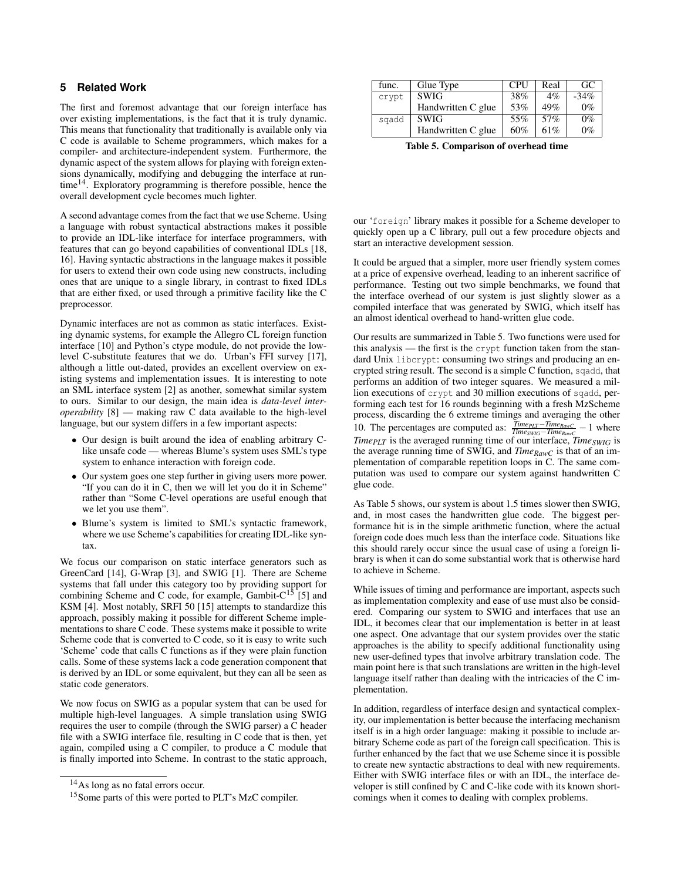# **5 Related Work**

The first and foremost advantage that our foreign interface has over existing implementations, is the fact that it is truly dynamic. This means that functionality that traditionally is available only via C code is available to Scheme programmers, which makes for a compiler- and architecture-independent system. Furthermore, the dynamic aspect of the system allows for playing with foreign extensions dynamically, modifying and debugging the interface at runtime<sup>14</sup> . Exploratory programming is therefore possible, hence the overall development cycle becomes much lighter.

A second advantage comes from the fact that we use Scheme. Using a language with robust syntactical abstractions makes it possible to provide an IDL-like interface for interface programmers, with features that can go beyond capabilities of conventional IDLs [18, 16]. Having syntactic abstractions in the language makes it possible for users to extend their own code using new constructs, including ones that are unique to a single library, in contrast to fixed IDLs that are either fixed, or used through a primitive facility like the C preprocessor.

Dynamic interfaces are not as common as static interfaces. Existing dynamic systems, for example the Allegro CL foreign function interface [10] and Python's ctype module, do not provide the lowlevel C-substitute features that we do. Urban's FFI survey [17], although a little out-dated, provides an excellent overview on existing systems and implementation issues. It is interesting to note an SML interface system [2] as another, somewhat similar system to ours. Similar to our design, the main idea is *data-level interoperability* [8] — making raw C data available to the high-level language, but our system differs in a few important aspects:

- Our design is built around the idea of enabling arbitrary Clike unsafe code — whereas Blume's system uses SML's type system to enhance interaction with foreign code.
- Our system goes one step further in giving users more power. "If you can do it in C, then we will let you do it in Scheme" rather than "Some C-level operations are useful enough that we let you use them".
- Blume's system is limited to SML's syntactic framework, where we use Scheme's capabilities for creating IDL-like syntax.

We focus our comparison on static interface generators such as GreenCard [14], G-Wrap [3], and SWIG [1]. There are Scheme systems that fall under this category too by providing support for combining Scheme and C code, for example, Gambit-C<sup>15</sup> [5] and KSM [4]. Most notably, SRFI 50 [15] attempts to standardize this approach, possibly making it possible for different Scheme implementations to share C code. These systems make it possible to write Scheme code that is converted to C code, so it is easy to write such 'Scheme' code that calls C functions as if they were plain function calls. Some of these systems lack a code generation component that is derived by an IDL or some equivalent, but they can all be seen as static code generators.

We now focus on SWIG as a popular system that can be used for multiple high-level languages. A simple translation using SWIG requires the user to compile (through the SWIG parser) a C header file with a SWIG interface file, resulting in C code that is then, yet again, compiled using a C compiler, to produce a C module that is finally imported into Scheme. In contrast to the static approach,

| func. | Glue Type          | CPU    | Real  | GC.     |
|-------|--------------------|--------|-------|---------|
| crypt | <b>SWIG</b>        | $38\%$ | $4\%$ | $-34\%$ |
|       | Handwritten C glue | 53%    | 49%   | $0\%$   |
| sgadd | <b>SWIG</b>        | 55%    | 57%   | $0\%$   |
|       | Handwritten C glue | 60%    | 61%   | $0\%$   |

**Table 5. Comparison of overhead time**

our 'foreign' library makes it possible for a Scheme developer to quickly open up a C library, pull out a few procedure objects and start an interactive development session.

It could be argued that a simpler, more user friendly system comes at a price of expensive overhead, leading to an inherent sacrifice of performance. Testing out two simple benchmarks, we found that the interface overhead of our system is just slightly slower as a compiled interface that was generated by SWIG, which itself has an almost identical overhead to hand-written glue code.

Our results are summarized in Table 5. Two functions were used for this analysis — the first is the crypt function taken from the standard Unix libcrypt: consuming two strings and producing an encrypted string result. The second is a simple C function, sqadd, that performs an addition of two integer squares. We measured a million executions of crypt and 30 million executions of sqadd, performing each test for 16 rounds beginning with a fresh MzScheme process, discarding the 6 extreme timings and averaging the other 10. The percentages are computed as:  $\frac{Time_{PLT}-Time_{RawC}}{Time_{SWIG}-Time_{RawC}} - 1$  where *TimePLT* is the averaged running time of our interface, *TimeSWIG* is the average running time of SWIG, and *TimeRawC* is that of an implementation of comparable repetition loops in C. The same computation was used to compare our system against handwritten C glue code.

As Table 5 shows, our system is about 1.5 times slower then SWIG, and, in most cases the handwritten glue code. The biggest performance hit is in the simple arithmetic function, where the actual foreign code does much less than the interface code. Situations like this should rarely occur since the usual case of using a foreign library is when it can do some substantial work that is otherwise hard to achieve in Scheme.

While issues of timing and performance are important, aspects such as implementation complexity and ease of use must also be considered. Comparing our system to SWIG and interfaces that use an IDL, it becomes clear that our implementation is better in at least one aspect. One advantage that our system provides over the static approaches is the ability to specify additional functionality using new user-defined types that involve arbitrary translation code. The main point here is that such translations are written in the high-level language itself rather than dealing with the intricacies of the C implementation.

In addition, regardless of interface design and syntactical complexity, our implementation is better because the interfacing mechanism itself is in a high order language: making it possible to include arbitrary Scheme code as part of the foreign call specification. This is further enhanced by the fact that we use Scheme since it is possible to create new syntactic abstractions to deal with new requirements. Either with SWIG interface files or with an IDL, the interface developer is still confined by C and C-like code with its known shortcomings when it comes to dealing with complex problems.

<sup>&</sup>lt;sup>14</sup>As long as no fatal errors occur.

<sup>&</sup>lt;sup>15</sup>Some parts of this were ported to PLT's MzC compiler.